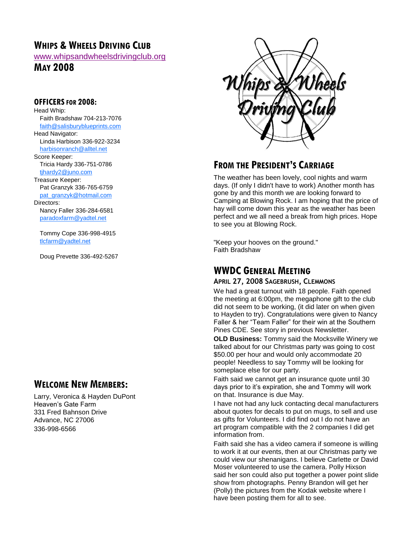# **WHIPS & WHEELS DRIVING CLUB**

[www.whipsandwheelsdrivingclub.org](http://www.whipsandwheelsdrivingclub.org/)

**MAY 2008**

#### **OFFICERSFOR 2008:**

Head Whip: Faith Bradshaw 704-213-7076 [faith@salisburyblueprints.com](mailto:faith@salisburyblueprints.com) Head Navigator: Linda Harbison 336-922-3234 [harbisonranch@alltel.net](mailto:harbisonranch@alltel.net) Score Keeper: Tricia Hardy 336-751-0786 [tjhardy2@juno.com](mailto:tjhardy2@juno.com) Treasure Keeper: Pat Granzyk 336-765-6759

[pat\\_granzyk@hotmail.com](mailto:pat_granzyk@hotmail.com) Directors:

Nancy Faller 336-284-6581 [paradoxfarm@yadtel.net](mailto:paradoxfarm@yadtel.net)

Tommy Cope 336-998-4915 [tlcfarm@yadtel.net](mailto:tlcfarm@yadtel.net)

Doug Prevette 336-492-5267

# **WELCOME NEW MEMBERS:**

Larry, Veronica & Hayden DuPont Heaven's Gate Farm 331 Fred Bahnson Drive Advance, NC 27006 336-998-6566



# **FROM THE PRESIDENT'S CARRIAGE**

The weather has been lovely, cool nights and warm days. (If only I didn't have to work) Another month has gone by and this month we are looking forward to Camping at Blowing Rock. I am hoping that the price of hay will come down this year as the weather has been perfect and we all need a break from high prices. Hope to see you at Blowing Rock.

"Keep your hooves on the ground." Faith Bradshaw

# **WWDC GENERAL MEETING**

#### **APRIL 27, 2008 SAGEBRUSH, CLEMMONS**

We had a great turnout with 18 people. Faith opened the meeting at 6:00pm, the megaphone gift to the club did not seem to be working, (it did later on when given to Hayden to try). Congratulations were given to Nancy Faller & her "Team Faller" for their win at the Southern Pines CDE. See story in previous Newsletter.

**OLD Business:** Tommy said the Mocksville Winery we talked about for our Christmas party was going to cost \$50.00 per hour and would only accommodate 20 people! Needless to say Tommy will be looking for someplace else for our party.

Faith said we cannot get an insurance quote until 30 days prior to it's expiration, she and Tommy will work on that. Insurance is due May.

I have not had any luck contacting decal manufacturers about quotes for decals to put on mugs, to sell and use as gifts for Volunteers. I did find out I do not have an art program compatible with the 2 companies I did get information from.

Faith said she has a video camera if someone is willing to work it at our events, then at our Christmas party we could view our shenanigans. I believe Carlette or David Moser volunteered to use the camera. Polly Hixson said her son could also put together a power point slide show from photographs. Penny Brandon will get her (Polly) the pictures from the Kodak website where I have been posting them for all to see.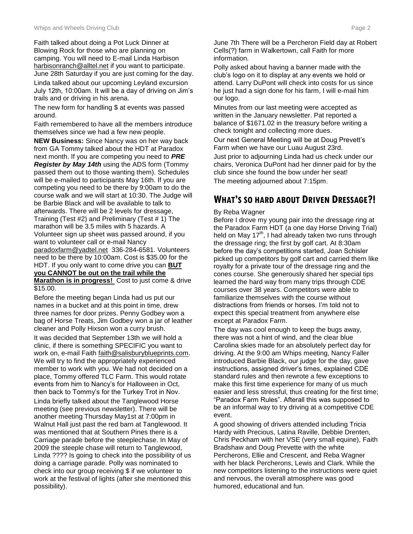Faith talked about doing a Pot Luck Dinner at Blowing Rock for those who are planning on camping. You will need to E-mail Linda Harbison harbisonranch@alltel.net if you want to participate. June 28th Saturday if you are just coming for the day.

Linda talked about our upcoming Leyland excursion July 12th, 10:00am. It will be a day of driving on Jim's trails and or driving in his arena.

The new form for handling \$ at events was passed around.

Faith remembered to have all the members introduce themselves since we had a few new people.

**NEW Business:** Since Nancy was on her way back from GA Tommy talked about the HDT at Paradox next month. If you are competing you need to *PRE Register by May 14th* using the ADS form (Tommy passed them out to those wanting them). Schedules will be e-mailed to participants May 16th. If you are competing you need to be there by 9:00am to do the course walk and we will start at 10:30. The Judge will be Barbie Black and will be available to talk to afterwards. There will be 2 levels for dressage, Training (Test #2) and Preliminary (Test # 1) The marathon will be 3.5 miles with 5 hazards. A Volunteer sign up sheet was passed around, if you want to volunteer call or e-mail Nancy paradoxfarm@yadtel.net 336-284-6581. Volunteers need to be there by 10:00am. Cost is \$35.00 for the HDT. If you only want to come drive you can **BUT you CANNOT be out on the trail while the Marathon is in progress!** Cost to just come & drive \$15.00.

Before the meeting began Linda had us put our names in a bucket and at this point in time, drew three names for door prizes. Penny Godbey won a bag of Horse Treats, Jim Godbey won a jar of leather cleaner and Polly Hixson won a curry brush.

It was decided that September 13th we will hold a clinic, if there is something SPECIFIC you want to work on, e-mail Faith faith@salisburyblueprints.com. We will try to find the appropriately experienced member to work with you. We had not decided on a place, Tommy offered TLC Farm. This would rotate events from him to Nancy's for Halloween in Oct, then back to Tommy's for the Turkey Trot in Nov. Linda briefly talked about the Tanglewood Horse meeting (see previous newsletter). There will be another meeting Thursday May1st at 7:00pm in Walnut Hall just past the red barn at Tanglewood. It was mentioned that at Southern Pines there is a Carriage parade before the steeplechase. In May of 2009 the steeple chase will return to Tanglewood, Linda ???? Is going to check into the possibility of us doing a carriage parade. Polly was nominated to check into our group receiving \$ if we volunteer to work at the festival of lights (after she mentioned this possibility).

June 7th There will be a Percheron Field day at Robert Cells(?) farm in Walkertown, call Faith for more information.

Polly asked about having a banner made with the club's logo on it to display at any events we hold or attend. Larry DuPont will check into costs for us since he just had a sign done for his farm, I will e-mail him our logo.

Minutes from our last meeting were accepted as written in the January newsletter. Pat reported a balance of \$1671.02 in the treasury before writing a check tonight and collecting more dues.

Our next General Meeting will be at Doug Prevett's Farm when we have our Luau August 23rd. Just prior to adjourning Linda had us check under our chairs, Veronica DuPont had her dinner paid for by the club since she found the bow under her seat!

The meeting adjourned about 7:15pm.

# **WHAT'S SO HARD ABOUT DRIVEN DRESSAGE?!**

#### By Reba Wagner

Before I drove my young pair into the dressage ring at the Paradox Farm HDT (a one day Horse Driving Trial) held on May 17<sup>th</sup>, I had already taken two runs through the dressage ring; the first by golf cart. At 8:30am before the day's competitions started, Joan Schisler picked up competitors by golf cart and carried them like royalty for a private tour of the dressage ring and the cones course. She generously shared her special tips learned the hard way from many trips through CDE courses over 38 years. Competitors were able to familiarize themselves with the course without distractions from friends or horses. I'm told not to expect this special treatment from anywhere else except at Paradox Farm.

The day was cool enough to keep the bugs away, there was not a hint of wind, and the clear blue Carolina skies made for an absolutely perfect day for driving. At the 9:00 am Whips meeting, Nancy Faller introduced Barbie Black, our judge for the day, gave instructions, assigned driver's times, explained CDE standard rules and then rewrote a few exceptions to make this first time experience for many of us much easier and less stressful, thus creating for the first time; "Paradox Farm Rules". Afterall this was supposed to be an informal way to try driving at a competitive CDE event.

A good showing of drivers attended including Tricia Hardy with Precious, Latina Raville, Debbie Drenten, Chris Peckham with her VSE (very small equine), Faith Bradshaw and Doug Prevette with the white Percherons, Ellie and Crescent, and Reba Wagner with her black Percherons, Lewis and Clark. While the new competitors listening to the instructions were quiet and nervous, the overall atmosphere was good humored, educational and fun.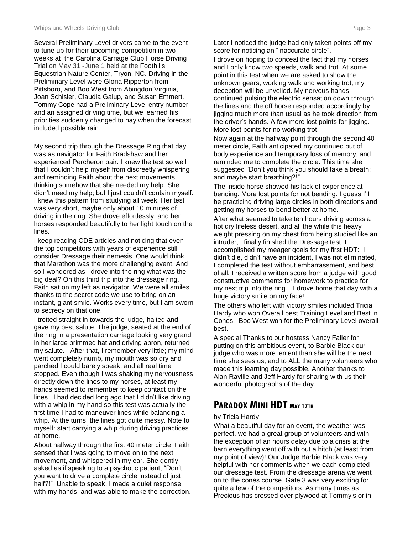Several Preliminary Level drivers came to the event to tune up for their upcoming competition in two weeks at the Carolina Carriage Club Horse Driving Trial on May 31 -June 1 held at the Foothills Equestrian Nature Center, Tryon, NC. Driving in the Preliminary Level were Gloria Ripperton from Pittsboro, and Boo West from Abingdon Virginia*,*  Joan Schisler, Claudia Galup, and Susan Emmert*.* Tommy Cope had a Preliminary Level entry number and an assigned driving time, but we learned his priorities suddenly changed to hay when the forecast included possible rain.

My second trip through the Dressage Ring that day was as navigator for Faith Bradshaw and her experienced Percheron pair. I knew the test so well that I couldn't help myself from discreetly whispering and reminding Faith about the next movements; thinking somehow that she needed my help. She didn't need my help; but I just couldn't contain myself. I knew this pattern from studying all week. Her test was very short, maybe only about 10 minutes of driving in the ring. She drove effortlessly, and her horses responded beautifully to her light touch on the lines.

I keep reading CDE articles and noticing that even the top competitors with years of experience still consider Dressage their nemesis. One would think that Marathon was the more challenging event. And so I wondered as I drove into the ring what was the big deal? On this third trip into the dressage ring, Faith sat on my left as navigator. We were all smiles thanks to the secret code we use to bring on an instant, giant smile. Works every time, but I am sworn to secrecy on that one.

I trotted straight in towards the judge, halted and gave my best salute. The judge, seated at the end of the ring in a presentation carriage looking very grand in her large brimmed hat and driving apron, returned my salute. After that, I remember very little; my mind went completely numb, my mouth was so dry and parched I could barely speak, and all real time stopped. Even though I was shaking my nervousness directly down the lines to my horses, at least my hands seemed to remember to keep contact on the lines. I had decided long ago that I didn't like driving with a whip in my hand so this test was actually the first time I had to maneuver lines while balancing a whip. At the turns, the lines got quite messy. Note to myself: start carrying a whip during driving practices at home.

About halfway through the first 40 meter circle, Faith sensed that I was going to move on to the next movement, and whispered in my ear. She gently asked as if speaking to a psychotic patient, "Don't you want to drive a complete circle instead of just half?!" Unable to speak, I made a quiet response with my hands, and was able to make the correction. Later I noticed the judge had only taken points off my score for noticing an "inaccurate circle".

I drove on hoping to conceal the fact that my horses and I only know two speeds, walk and trot. At some point in this test when we are asked to show the unknown gears; working walk and working trot, my deception will be unveiled. My nervous hands continued pulsing the electric sensation down through the lines and the off horse responded accordingly by jigging much more than usual as he took direction from the driver's hands. A few more lost points for jigging. More lost points for no working trot.

Now again at the halfway point through the second 40 meter circle, Faith anticipated my continued out of body experience and temporary loss of memory, and reminded me to complete the circle. This time she suggested "Don't you think you should take a breath; and maybe start breathing?!"

The inside horse showed his lack of experience at bending. More lost points for not bending. I guess I'll be practicing driving large circles in both directions and getting my horses to bend better at home.

After what seemed to take ten hours driving across a hot dry lifeless desert, and all the while this heavy weight pressing on my chest from being studied like an intruder, I finally finished the Dressage test. I accomplished my meager goals for my first HDT: I didn't die, didn't have an incident, I was not eliminated, I completed the test without embarrassment, and best of all, I received a written score from a judge with good constructive comments for homework to practice for my next trip into the ring. I drove home that day with a huge victory smile on my face!

The others who left with victory smiles included Tricia Hardy who won Overall best Training Level and Best in Cones. Boo West won for the Preliminary Level overall best.

A special Thanks to our hostess Nancy Faller for putting on this ambitious event, to Barbie Black our judge who was more lenient than she will be the next time she sees us, and to ALL the many volunteers who made this learning day possible. Another thanks to Alan Raville and Jeff Hardy for sharing with us their wonderful photographs of the day.

# **PARADOX MINI HDT <sup>M</sup>AY 17TH**

#### by Tricia Hardy

What a beautiful day for an event, the weather was perfect, we had a great group of volunteers and with the exception of an hours delay due to a crisis at the barn everything went off with out a hitch (at least from my point of view)! Our Judge Barbie Black was very helpful with her comments when we each completed our dressage test. From the dressage arena we went on to the cones course. Gate 3 was very exciting for quite a few of the competitors. As many times as Precious has crossed over plywood at Tommy's or in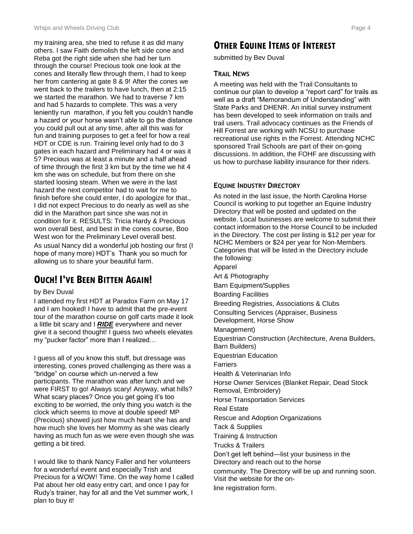my training area, she tried to refuse it as did many others. I saw Faith demolish the left side cone and Reba got the right side when she had her turn through the course! Precious took one look at the cones and literally flew through them, I had to keep her from cantering at gate 8 & 9! After the cones we went back to the trailers to have lunch, then at 2:15 we started the marathon. We had to traverse 7 km and had 5 hazards to complete. This was a very leniently run marathon, if you felt you couldn't handle a hazard or your horse wasn't able to go the distance you could pull out at any time, after all this was for fun and training purposes to get a feel for how a real HDT or CDE is run. Training level only had to do 3 gates in each hazard and Preliminary had 4 or was it 5? Precious was at least a minute and a half ahead of time through the first 3 km but by the time we hit 4 km she was on schedule, but from there on she started loosing steam. When we were in the last hazard the next competitor had to wait for me to finish before she could enter, I do apologize for that., I did not expect Precious to do nearly as well as she did in the Marathon part since she was not in condition for it. RESULTS: Tricia Hardy & Precious won overall best, and best in the cones course, Boo West won for the Preliminary Level overall best. As usual Nancy did a wonderful job hosting our first (I hope of many more) HDT's Thank you so much for allowing us to share your beautiful farm.

# **OUCH! I'VE BEEN BITTEN AGAIN!**

#### by Bev Duval

I attended my first HDT at Paradox Farm on May 17 and I am hooked! I have to admit that the pre-event tour of the marathon course on golf carts made it look a little bit scary and I *RIDE* everywhere and never give it a second thought! I guess two wheels elevates my "pucker factor" more than I realized…

I guess all of you know this stuff, but dressage was interesting, cones proved challenging as there was a "bridge" on course which un-nerved a few participants. The marathon was after lunch and we were FIRST to go! Always scary! Anyway, what hills? What scary places? Once you get going it's too exciting to be worried, the only thing you watch is the clock which seems to move at double speed! MP (Precious) showed just how much heart she has and how much she loves her Mommy as she was clearly having as much fun as we were even though she was getting a bit tired.

I would like to thank Nancy Faller and her volunteers for a wonderful event and especially Trish and Precious for a WOW! Time. On the way home I called Pat about her old easy entry cart, and once I pay for Rudy's trainer, hay for all and the Vet summer work, I plan to buy it!

# **OTHER EQUINE ITEMS OF INTEREST**

submitted by Bev Duval

#### **TRAIL NEWS**

A meeting was held with the Trail Consultants to continue our plan to develop a "report card" for trails as well as a draft "Memorandum of Understanding" with State Parks and DHENR. An initial survey instrument has been developed to seek information on trails and trail users. Trail advocacy continues as the Friends of Hill Forrest are working with NCSU to purchase recreational use rights in the Forrest. Attending NCHC sponsored Trail Schools are part of their on-going discussions. In addition, the FOHF are discussing with us how to purchase liability insurance for their riders.

#### **EQUINE INDUSTRY DIRECTORY**

As noted in the last issue, the North Carolina Horse Council is working to put together an Equine Industry Directory that will be posted and updated on the website. Local businesses are welcome to submit their contact information to the Horse Council to be included in the Directory. The cost per listing is \$12 per year for NCHC Members or \$24 per year for Non-Members. Categories that will be listed in the Directory include the following:

Apparel Art & Photography

Barn Equipment/Supplies

Boarding Facilities

Breeding Registries, Associations & Clubs

Consulting Services (Appraiser, Business

Development, Horse Show

Management)

Equestrian Construction (Architecture, Arena Builders,

Barn Builders)

Equestrian Education Farriers

Health & Veterinarian Info

Horse Owner Services (Blanket Repair, Dead Stock

Removal, Embroidery)

Horse Transportation Services

Real Estate

Rescue and Adoption Organizations

Tack & Supplies

Training & Instruction

Trucks & Trailers

Don't get left behind—list your business in the

Directory and reach out to the horse

community. The Directory will be up and running soon. Visit the website for the on-

line registration form.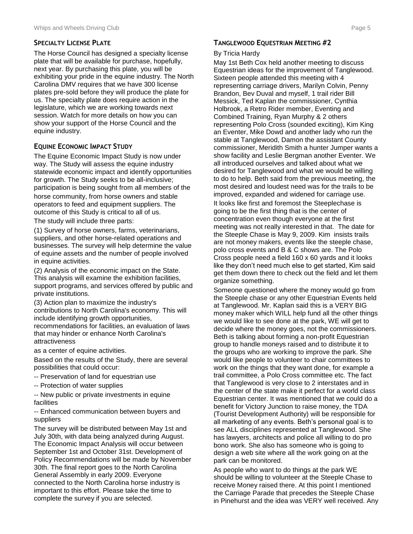#### **SPECIALTY LICENSE PLATE**

The Horse Council has designed a specialty license plate that will be available for purchase, hopefully, next year. By purchasing this plate, you will be exhibiting your pride in the equine industry. The North Carolina DMV requires that we have 300 license plates pre-sold before they will produce the plate for us. The specialty plate does require action in the legislature, which we are working towards next session. Watch for more details on how you can show your support of the Horse Council and the equine industry.

#### **EQUINE ECONOMIC IMPACT STUDY**

The Equine Economic Impact Study is now under way. The Study will assess the equine industry statewide economic impact and identify opportunities for growth. The Study seeks to be all-inclusive; participation is being sought from all members of the horse community, from horse owners and stable operators to feed and equipment suppliers. The outcome of this Study is critical to all of us.

The study will include three parts:

(1) Survey of horse owners, farms, veterinarians, suppliers, and other horse-related operations and businesses. The survey will help determine the value of equine assets and the number of people involved in equine activities.

(2) Analysis of the economic impact on the State. This analysis will examine the exhibition facilities, support programs, and services offered by public and private institutions.

(3) Action plan to maximize the industry's contributions to North Carolina's economy. This will include identifying growth opportunities, recommendations for facilities, an evaluation of laws that may hinder or enhance North Carolina's

attractiveness as a center of equine activities.

Based on the results of the Study, there are several possibilities that could occur:

- -- Preservation of land for equestrian use
- -- Protection of water supplies

-- New public or private investments in equine facilities

-- Enhanced communication between buyers and suppliers

The survey will be distributed between May 1st and July 30th, with data being analyzed during August. The Economic Impact Analysis will occur between September 1st and October 31st. Development of Policy Recommendations will be made by November 30th. The final report goes to the North Carolina General Assembly in early 2009. Everyone connected to the North Carolina horse industry is important to this effort. Please take the time to complete the survey if you are selected.

#### **TANGLEWOOD EQUESTRIAN MEETING #2**

#### By Tricia Hardy

May 1st Beth Cox held another meeting to discuss Equestrian ideas for the improvement of Tanglewood. Sixteen people attended this meeting with 4 representing carriage drivers, Marilyn Colvin, Penny Brandon, Bev Duval and myself, 1 trail rider Bill Messick, Ted Kaplan the commissioner, Cynthia Holbrook, a Retro Rider member, Eventing and Combined Training, Ryan Murphy & 2 others representing Polo Cross (sounded exciting), Kim King an Eventer, Mike Dowd and another lady who run the stable at Tanglewood, Damon the assistant County commissioner, Meridith Smith a hunter Jumper wants a show facility and Leslie Bergman another Eventer. We all introduced ourselves and talked about what we desired for Tanglewood and what we would be willing to do to help. Beth said from the previous meeting, the most desired and loudest need was for the trails to be improved, expanded and widened for carriage use. It looks like first and foremost the Steeplechase is going to be the first thing that is the center of concentration even though everyone at the first meeting was not really interested in that. The date for the Steeple Chase is May 9, 2009. Kim insists trails are not money makers, events like the steeple chase, polo cross events and B & C shows are. The Polo Cross people need a field 160 x 60 yards and it looks like they don't need much else to get started, Kim said get them down there to check out the field and let them organize something.

Someone questioned where the money would go from the Steeple chase or any other Equestrian Events held at Tanglewood. Mr. Kaplan said this is a VERY BIG money maker which WILL help fund all the other things we would like to see done at the park, WE will get to decide where the money goes, not the commissioners. Beth is talking about forming a non-profit Equestrian group to handle moneys raised and to distribute it to the groups who are working to improve the park. She would like people to volunteer to chair committees to work on the things that they want done, for example a trail committee, a Polo Cross committee etc. The fact that Tanglewood is very close to 2 interstates and in the center of the state make it perfect for a world class Equestrian center. It was mentioned that we could do a benefit for Victory Junction to raise money, the TDA (Tourist Development Authority) will be responsible for all marketing of any events. Beth's personal goal is to see ALL disciplines represented at Tanglewood. She has lawyers, architects and police all willing to do pro bono work. She also has someone who is going to design a web site where all the work going on at the park can be monitored.

As people who want to do things at the park WE should be willing to volunteer at the Steeple Chase to receive Money raised there. At this point I mentioned the Carriage Parade that precedes the Steeple Chase in Pinehurst and the idea was VERY well received. Any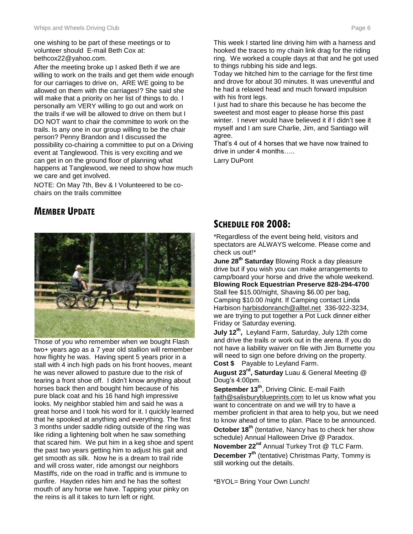one wishing to be part of these meetings or to volunteer should E-mail Beth Cox at: bethcox22@yahoo.com.

After the meeting broke up I asked Beth if we are willing to work on the trails and get them wide enough for our carriages to drive on, ARE WE going to be allowed on them with the carriages!? She said she will make that a priority on her list of things to do. I personally am VERY willing to go out and work on the trails if we will be allowed to drive on them but I DO NOT want to chair the committee to work on the trails. Is any one in our group willing to be the chair person? Penny Brandon and I discussed the possibility co-chairing a committee to put on a Driving event at Tanglewood. This is very exciting and we can get in on the ground floor of planning what happens at Tanglewood, we need to show how much we care and get involved.

NOTE: On May 7th, Bev & I Volunteered to be cochairs on the trails committee

# **MEMBER UPDATE**



Those of you who remember when we bought Flash two+ years ago as a 7 year old stallion will remember how flighty he was. Having spent 5 years prior in a stall with 4 inch high pads on his front hooves, meant he was never allowed to pasture due to the risk of tearing a front shoe off. I didn't know anything about horses back then and bought him because of his pure black coat and his 16 hand high impressive looks. My neighbor stabled him and said he was a great horse and I took his word for it. I quickly learned that he spooked at anything and everything. The first 3 months under saddle riding outside of the ring was like riding a lightening bolt when he saw something that scared him. We put him in a keg shoe and spent the past two years getting him to adjust his gait and get smooth as silk. Now he is a dream to trail ride and will cross water, ride amongst our neighbors Mastiffs, ride on the road in traffic and is immune to gunfire. Hayden rides him and he has the softest mouth of any horse we have. Tapping your pinky on the reins is all it takes to turn left or right.

This week I started line driving him with a harness and hooked the traces to my chain link drag for the riding ring. We worked a couple days at that and he got used to things rubbing his side and legs.

Today we hitched him to the carriage for the first time and drove for about 30 minutes. It was uneventful and he had a relaxed head and much forward impulsion with his front legs.

I just had to share this because he has become the sweetest and most eager to please horse this past winter. I never would have believed it if I didn't see it myself and I am sure Charlie, Jim, and Santiago will agree.

That's 4 out of 4 horses that we have now trained to drive in under 4 months…..

Larry DuPont

# **SCHEDULE FOR 2008:**

\*Regardless of the event being held, visitors and spectators are ALWAYS welcome. Please come and check us out!\*

**June 28th Saturday** Blowing Rock a day pleasure drive but if you wish you can make arrangements to camp/board your horse and drive the whole weekend. **Blowing Rock Equestrian Preserve 828-294-4700**  Stall fee \$15.00/night, Shaving \$6.00 per bag, Camping \$10.00 /night. If Camping contact Linda Harbison harbisdonranch@alltel.net 336-922-3234, we are trying to put together a Pot Luck dinner either Friday or Saturday evening.

**July 12th ,** Leyland Farm, Saturday, July 12th come and drive the trails or work out in the arena. If you do not have a liability waiver on file with Jim Burnette you will need to sign one before driving on the property. **Cost \$** Payable to Leyland Farm.

**August 23rd, Saturday** Luau & General Meeting @ Doug's 4:00pm.

**September 13th**, Driving Clinic. E-mail Faith faith@salisburyblueprints.com to let us know what you want to concentrate on and we will try to have a member proficient in that area to help you, but we need to know ahead of time to plan. Place to be announced.

**October 18th** (tentative, Nancy has to check her show schedule) Annual Halloween Drive @ Paradox.

**November 22nd** Annual Turkey Trot @ TLC Farm. **December 7th** (tentative) Christmas Party, Tommy is still working out the details.

\*BYOL= Bring Your Own Lunch!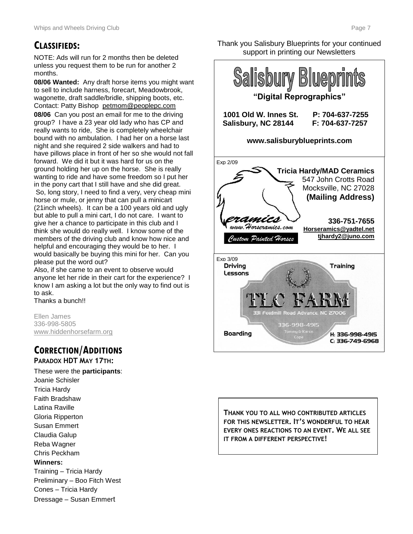# **CLASSIFIEDS:**

NOTE: Ads will run for 2 months then be deleted unless you request them to be run for another 2 months.

**08/06 Wanted:** Any draft horse items you might want to sell to include harness, forecart, Meadowbrook, wagonette, draft saddle/bridle, shipping boots, etc. Contact: Patty Bishop petmom@peoplepc.com **08/06** Can you post an email for me to the driving group? I have a 23 year old lady who has CP and really wants to ride, She is completely wheelchair bound with no ambulation. I had her on a horse last night and she required 2 side walkers and had to have pillows place in front of her so she would not fall forward. We did it but it was hard for us on the ground holding her up on the horse. She is really wanting to ride and have some freedom so I put her in the pony cart that I still have and she did great. So, long story, I need to find a very, very cheap mini horse or mule, or jenny that can pull a minicart (21inch wheels). It can be a 100 years old and ugly but able to pull a mini cart, I do not care. I want to give her a chance to participate in this club and I think she would do really well. I know some of the members of the driving club and know how nice and helpful and encouraging they would be to her. I would basically be buying this mini for her. Can you please put the word out?

Also, if she came to an event to observe would anyone let her ride in their cart for the experience? I know I am asking a lot but the only way to find out is to ask.

Thanks a bunch!!

Ellen James 336-998-5805 [www.hiddenhorsefarm.org](http://www.hiddenhorsefarm.org/)

# **CORRECTION/ADDITIONS**

#### **PARADOX HDT MAY 17TH:**

These were the **participants**: Joanie Schisler Tricia Hardy Faith Bradshaw Latina Raville Gloria Ripperton Susan Emmert Claudia Galup Reba Wagner Chris Peckham **Winners:** Training – Tricia Hardy Preliminary – Boo Fitch West Cones – Tricia Hardy Dressage – Susan Emmert

Thank you Salisbury Blueprints for your continued support in printing our Newsletters



**THANK YOU TO ALL WHO CONTRIBUTED ARTICLES FOR THIS NEWSLETTER. IT'S WONDERFUL TO HEAR EVERY ONES REACTIONS TO AN EVENT. WE ALL SEE IT FROM A DIFFERENT PERSPECTIVE!**